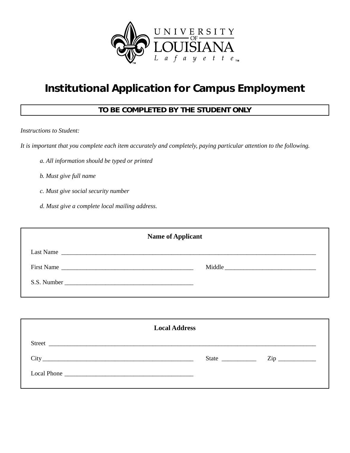

# **Institutional Application for Campus Employment**

## **TO BE COMPLETED BY THE STUDENT ONLY**

*Instructions to Student:*

*It is important that you complete each item accurately and completely, paying particular attention to the following.*

- *a. All information should be typed or printed*
- *b. Must give full name*
- *c. Must give social security number*
- *d. Must give a complete local mailing address.*

| <b>Name of Applicant</b> |                      |  |  |  |
|--------------------------|----------------------|--|--|--|
|                          | Last Name            |  |  |  |
| First Name               | Middle               |  |  |  |
|                          |                      |  |  |  |
|                          |                      |  |  |  |
|                          |                      |  |  |  |
|                          | <b>Local Address</b> |  |  |  |
| $\sim$                   |                      |  |  |  |

| Street                                                                                                                                      |              |             |
|---------------------------------------------------------------------------------------------------------------------------------------------|--------------|-------------|
|                                                                                                                                             | <b>State</b> | $\sqrt{11}$ |
| <b>Local Phone</b><br><u> 1980 - Andrea State Barbara, actor a componente de la contrada de la contrada de la contrada de la contrada d</u> |              |             |